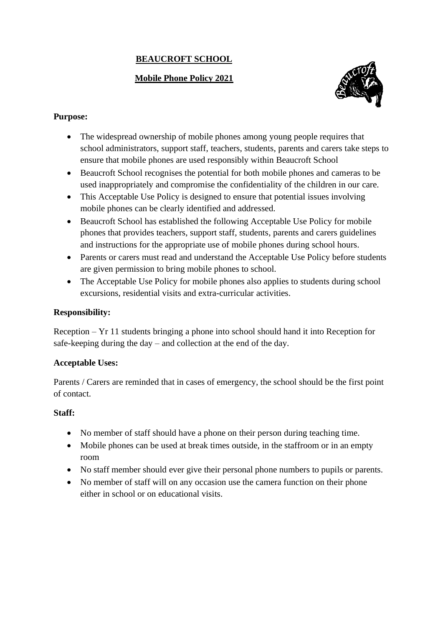# **BEAUCROFT SCHOOL**

# **Mobile Phone Policy 2021**



### **Purpose:**

- The widespread ownership of mobile phones among young people requires that school administrators, support staff, teachers, students, parents and carers take steps to ensure that mobile phones are used responsibly within Beaucroft School
- Beaucroft School recognises the potential for both mobile phones and cameras to be used inappropriately and compromise the confidentiality of the children in our care.
- This Acceptable Use Policy is designed to ensure that potential issues involving mobile phones can be clearly identified and addressed.
- Beaucroft School has established the following Acceptable Use Policy for mobile phones that provides teachers, support staff, students, parents and carers guidelines and instructions for the appropriate use of mobile phones during school hours.
- Parents or carers must read and understand the Acceptable Use Policy before students are given permission to bring mobile phones to school.
- The Acceptable Use Policy for mobile phones also applies to students during school excursions, residential visits and extra-curricular activities.

## **Responsibility:**

Reception – Yr 11 students bringing a phone into school should hand it into Reception for safe-keeping during the day – and collection at the end of the day.

# **Acceptable Uses:**

Parents / Carers are reminded that in cases of emergency, the school should be the first point of contact.

#### **Staff:**

- No member of staff should have a phone on their person during teaching time.
- Mobile phones can be used at break times outside, in the staffroom or in an empty room
- No staff member should ever give their personal phone numbers to pupils or parents.
- No member of staff will on any occasion use the camera function on their phone either in school or on educational visits.